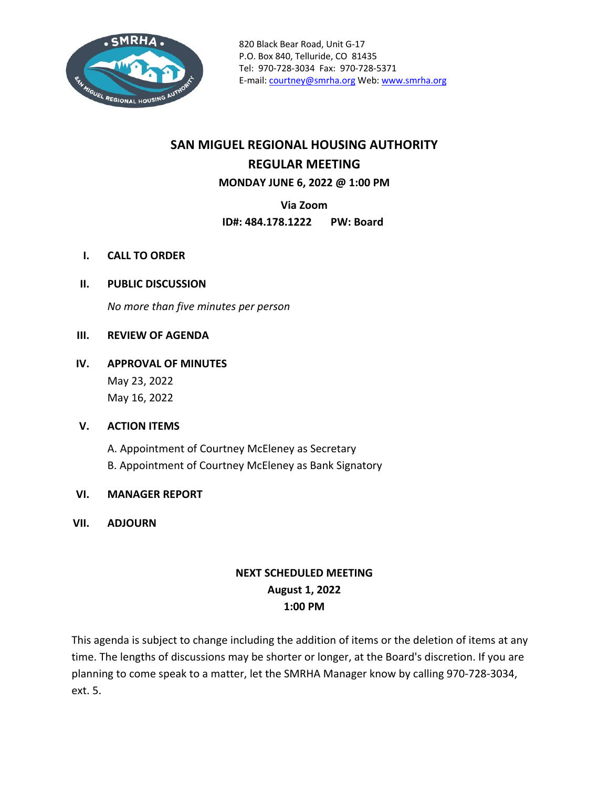

# **SAN MIGUEL REGIONAL HOUSING AUTHORITY REGULAR MEETING MONDAY JUNE 6, 2022 @ 1:00 PM**

**Via Zoom**

**ID#: 484.178.1222 PW: Board**

- **I. CALL TO ORDER**
- **II. PUBLIC DISCUSSION**

*No more than five minutes per person*

#### **III. REVIEW OF AGENDA**

**IV. APPROVAL OF MINUTES** May 23, 2022

May 16, 2022

#### **V. ACTION ITEMS**

A. Appointment of Courtney McEleney as Secretary B. Appointment of Courtney McEleney as Bank Signatory

#### **VI. MANAGER REPORT**

**VII. ADJOURN**

# **NEXT SCHEDULED MEETING August 1, 2022 1:00 PM**

This agenda is subject to change including the addition of items or the deletion of items at any time. The lengths of discussions may be shorter or longer, at the Board's discretion. If you are planning to come speak to a matter, let the SMRHA Manager know by calling 970-728-3034, ext. 5.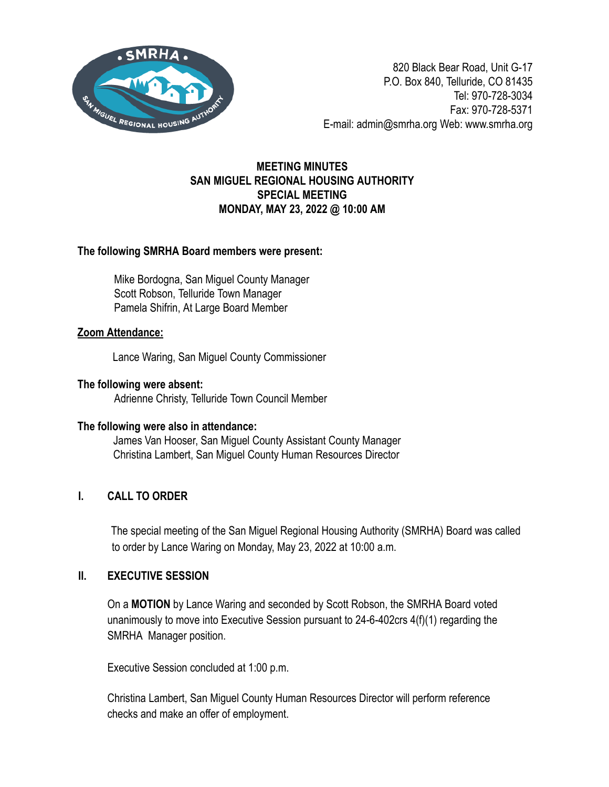

# **MEETING MINUTES SAN MIGUEL REGIONAL HOUSING AUTHORITY SPECIAL MEETING MONDAY, MAY 23, 2022 @ 10:00 AM**

## The following SMRHA Board members were present:

Mike Bordogna, San Miguel County Manager Scott Robson, Telluride Town Manager Pamela Shifrin, At Large Board Member

## **Zoom Attendance:**

Lance Waring, San Miguel County Commissioner

# The following were absent:

Adrienne Christy, Telluride Town Council Member

#### The following were also in attendance:

James Van Hooser, San Miquel County Assistant County Manager Christina Lambert, San Miquel County Human Resources Director

# **I. CALL TO ORDER**

The special meeting of the San Miguel Regional Housing Authority (SMRHA) Board was called to order by Lance Waring on Monday, May 23, 2022 at 10:00 a.m.

## **II. EXECUTIVE SESSION**

On a **MOTION** by Lance Waring and seconded by Scott Robson, the SMRHA Board voted unanimously to move into Executive Session pursuant to 24-6-402crs  $4(f)(1)$  regarding the SMRHA Manager position.

Executive Session concluded at 1:00 p.m.

Christina Lambert, San Miguel County Human Resources Director will perform reference checks and make an offer of employment.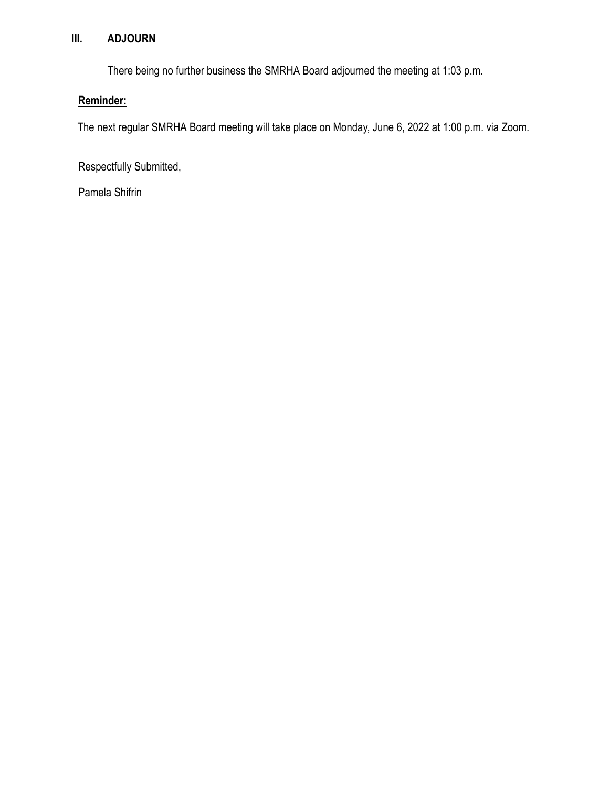# **III. ADJOURN**

There being no further business the SMRHA Board adjourned the meeting at 1:03 p.m.

# **Reminder:**

The next regular SMRHA Board meeting will take place on Monday, June 6, 2022 at 1:00 p.m. via Zoom.

Respectfully Submitted,

Pamela Shifrin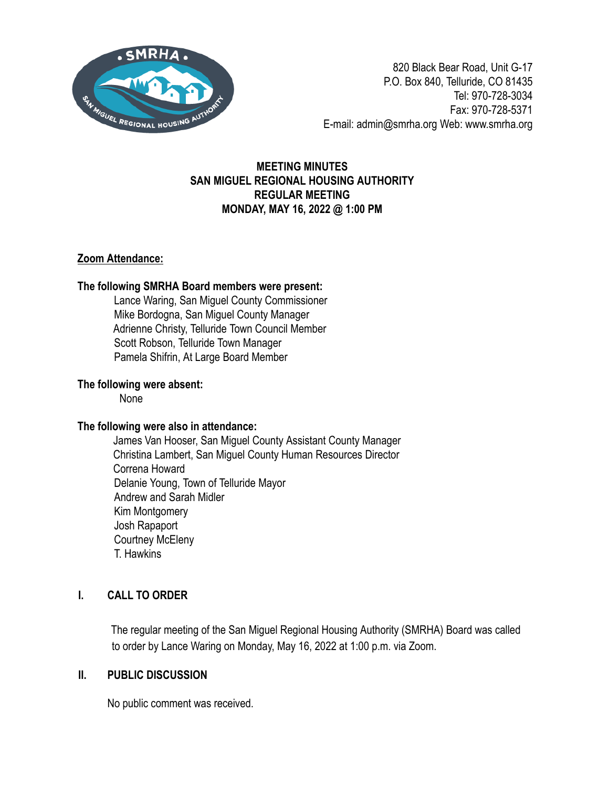

## **MEETING MINUTES SAN MIGUEL REGIONAL HOUSING AUTHORITY REGULAR MEETING MONDAY, MAY 16, 2022 @ 1:00 PM**

## **Zoom Attendance:**

## The following SMRHA Board members were present:

Lance Waring, San Miguel County Commissioner Mike Bordogna, San Miguel County Manager Adrienne Christy, Telluride Town Council Member Scott Robson, Telluride Town Manager Pamela Shifrin, At Large Board Member

## The following were absent:

None

## The following were also in attendance:

James Van Hooser, San Miquel County Assistant County Manager Christina Lambert, San Miguel Count\ Human Resources Director Correna Howard Delanie Young, Town of Telluride Mayor Andrew and Sarah Midler Kim Montgomer\ Josh Rapaport Courtney McEleny T. Hawkins

# **I. CALL TO ORDER**

The regular meeting of the San Miguel Regional Housing Authority (SMRHA) Board was called to order by Lance Waring on Monday, May 16, 2022 at 1:00 p.m. via Zoom.

## **II. PUBLIC DISCUSSION**

No public comment was received.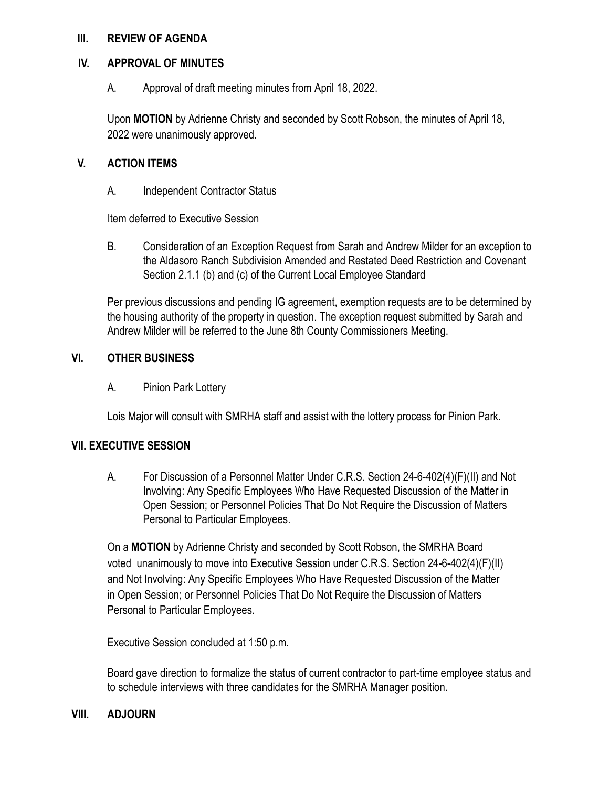#### **III. REVIEW OF AGENDA**

#### **IV. APPROVAL OF MINUTES**

A. Approval of draft meeting minutes from April 18, 2022.

Upon **MOTION** by Adrienne Christy and seconded by Scott Robson, the minutes of April 18, 2022 were unanimously approved.

## **V. ACTION ITEMS**

A. Independent Contractor Status

Item deferred to Executive Session

B. Consideration of an Exception Request from Sarah and Andrew Milder for an exception to the Aldasoro Ranch Subdivision Amended and Restated Deed Restriction and Covenant Section 2.1.1 (b) and (c) of the Current Local Employee Standard

Per previous discussions and pending IG agreement, exemption requests are to be determined by the housing authority of the property in question. The exception request submitted by Sarah and Andrew Milder will be referred to the June 8th County Commissioners Meeting.

## **VI. OTHER BUSINESS**

A. Pinion Park Lottery

Lois Major will consult with SMRHA staff and assist with the lottery process for Pinion Park.

#### **VII. EXECUTIVE SESSION**

A. For Discussion of a Personnel Matter Under C.R.S. Section 24-6-402(4)(F)(II) and Not Involving: Any Specific Employees Who Have Requested Discussion of the Matter in Open Session; or Personnel Policies That Do Not Require the Discussion of Matters Personal to Particular Employees.

On a **MOTION** by Adrienne Christy and seconded by Scott Robson, the SMRHA Board voted unanimously to move into Executive Session under C.R.S. Section  $24$ -6-402(4)(F)(II) and Not Involving: Any Specific Employees Who Have Requested Discussion of the Matter in Open Session; or Personnel Policies That Do Not Require the Discussion of Matters Personal to Particular Employees.

Executive Session concluded at 1:50 p.m.

Board gave direction to formalize the status of current contractor to part-time employee status and to schedule interviews with three candidates for the SMRHA Manager position.

#### **VIII. ADJOURN**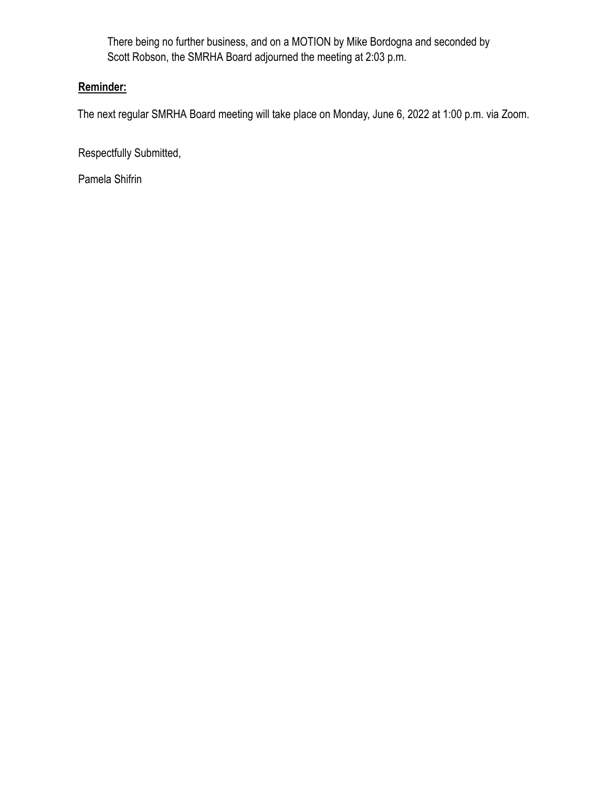There being no further business, and on a MOTION by Mike Bordogna and seconded by Scott Robson, the SMRHA Board adjourned the meeting at 2:03 p.m.

# **Reminder:**

The next regular SMRHA Board meeting will take place on Monday, June 6, 2022 at 1:00 p.m. via Zoom.

Respectfully Submitted,

Pamela Shifrin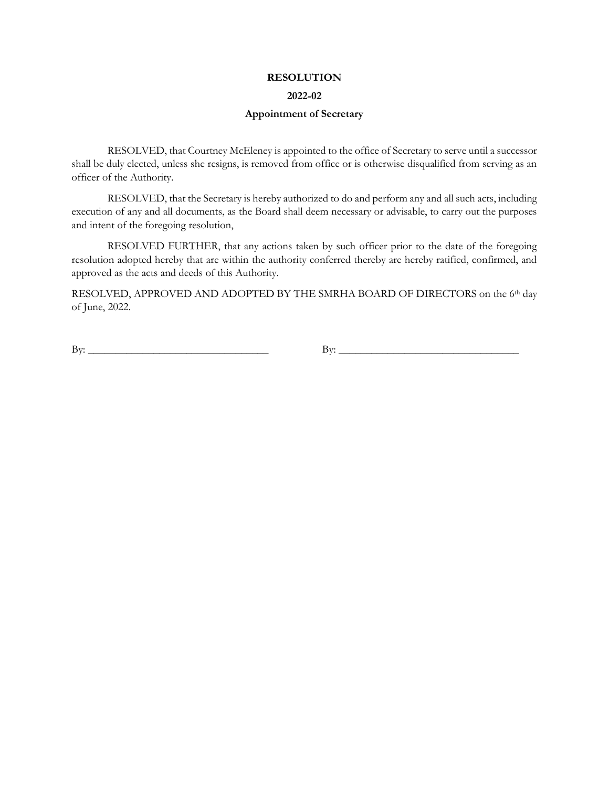#### **RESOLUTION**

#### **2022-02**

#### **Appointment of Secretary**

RESOLVED, that Courtney McEleney is appointed to the office of Secretary to serve until a successor shall be duly elected, unless she resigns, is removed from office or is otherwise disqualified from serving as an officer of the Authority.

RESOLVED, that the Secretary is hereby authorized to do and perform any and all such acts, including execution of any and all documents, as the Board shall deem necessary or advisable, to carry out the purposes and intent of the foregoing resolution,

RESOLVED FURTHER, that any actions taken by such officer prior to the date of the foregoing resolution adopted hereby that are within the authority conferred thereby are hereby ratified, confirmed, and approved as the acts and deeds of this Authority.

RESOLVED, APPROVED AND ADOPTED BY THE SMRHA BOARD OF DIRECTORS on the 6th day of June, 2022.

 $\text{By:}\_\_\_\_\_\_$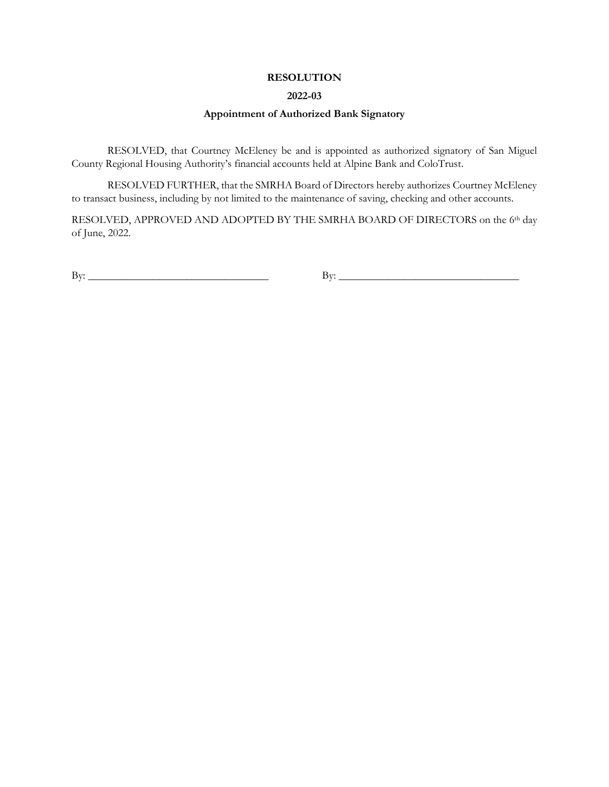#### **RESOLUTION**

#### **2022-03**

#### **Appointment of Authorized Bank Signatory**

RESOLVED, that Courtney McEleney be and is appointed as authorized signatory of San Miguel County Regional Housing Authority's financial accounts held at Alpine Bank and ColoTrust.

RESOLVED FURTHER, that the SMRHA Board of Directors hereby authorizes Courtney McEleney to transact business, including by not limited to the maintenance of saving, checking and other accounts.

RESOLVED, APPROVED AND ADOPTED BY THE SMRHA BOARD OF DIRECTORS on the 6th day of June, 2022.

 $\text{By:}\_$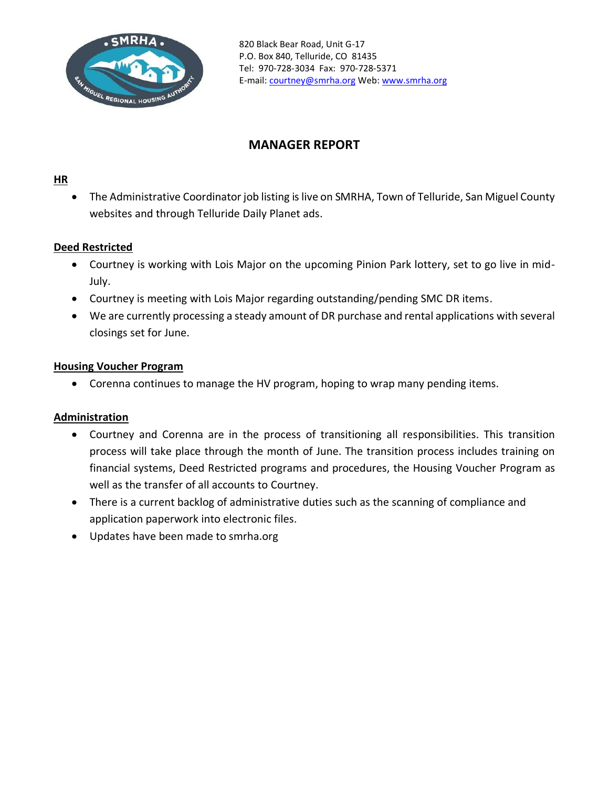

# **MANAGER REPORT**

#### **HR**

The Administrative Coordinator job listing is live on SMRHA, Town of Telluride, San Miguel County websites and through Telluride Daily Planet ads.

#### **Deed Restricted**

- Courtney is working with Lois Major on the upcoming Pinion Park lottery, set to go live in mid-July.
- Courtney is meeting with Lois Major regarding outstanding/pending SMC DR items.
- We are currently processing a steady amount of DR purchase and rental applications with several closings set for June.

#### **Housing Voucher Program**

• Corenna continues to manage the HV program, hoping to wrap many pending items.

#### **Administration**

- Courtney and Corenna are in the process of transitioning all responsibilities. This transition process will take place through the month of June. The transition process includes training on financial systems, Deed Restricted programs and procedures, the Housing Voucher Program as well as the transfer of all accounts to Courtney.
- There is a current backlog of administrative duties such as the scanning of compliance and application paperwork into electronic files.
- Updates have been made to smrha.org